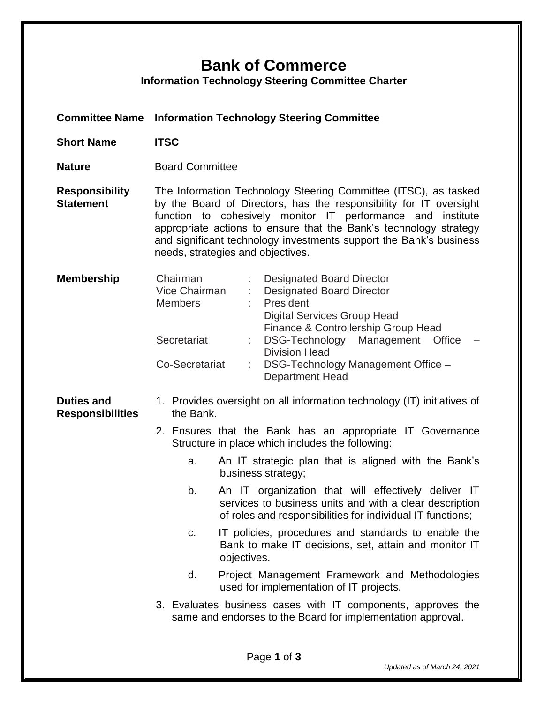## **Bank of Commerce**

**Information Technology Steering Committee Charter**

- **Committee Name Information Technology Steering Committee**
- **Short Name ITSC**
- **Nature Board Committee**

**Responsibility Statement** The Information Technology Steering Committee (ITSC), as tasked by the Board of Directors, has the responsibility for IT oversight function to cohesively monitor IT performance and institute appropriate actions to ensure that the Bank's technology strategy and significant technology investments support the Bank's business needs, strategies and objectives.

| <b>Membership</b> | Chairman<br>Vice Chairman<br><b>Members</b> | <b>Designated Board Director</b><br><b>Designated Board Director</b><br>President<br>Digital Services Group Head<br>Finance & Controllership Group Head |
|-------------------|---------------------------------------------|---------------------------------------------------------------------------------------------------------------------------------------------------------|
|                   | Secretariat                                 | DSG-Technology Management Office -<br><b>Division Head</b>                                                                                              |
|                   | Co-Secretariat                              | DSG-Technology Management Office -<br><b>Department Head</b>                                                                                            |

## **Duties and Responsibilities** 1. Provides oversight on all information technology (IT) initiatives of the Bank.

- 2. Ensures that the Bank has an appropriate IT Governance Structure in place which includes the following:
	- a. An IT strategic plan that is aligned with the Bank's business strategy;
	- b. An IT organization that will effectively deliver IT services to business units and with a clear description of roles and responsibilities for individual IT functions;
	- c. IT policies, procedures and standards to enable the Bank to make IT decisions, set, attain and monitor IT objectives.
	- d. Project Management Framework and Methodologies used for implementation of IT projects.
- 3. Evaluates business cases with IT components, approves the same and endorses to the Board for implementation approval.

*Updated as of March 24, 2021*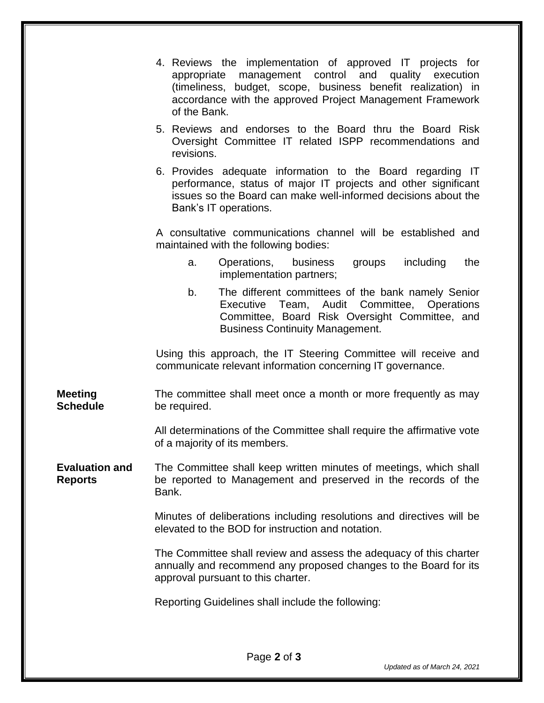|                                         | 4. Reviews the implementation of approved IT projects for<br>appropriate management control and quality execution<br>(timeliness, budget, scope, business benefit realization) in<br>accordance with the approved Project Management Framework<br>of the Bank.            |  |  |  |  |
|-----------------------------------------|---------------------------------------------------------------------------------------------------------------------------------------------------------------------------------------------------------------------------------------------------------------------------|--|--|--|--|
|                                         | 5. Reviews and endorses to the Board thru the Board Risk<br>Oversight Committee IT related ISPP recommendations and<br>revisions.                                                                                                                                         |  |  |  |  |
|                                         | 6. Provides adequate information to the Board regarding IT<br>performance, status of major IT projects and other significant<br>issues so the Board can make well-informed decisions about the<br>Bank's IT operations.                                                   |  |  |  |  |
|                                         | A consultative communications channel will be established and<br>maintained with the following bodies:                                                                                                                                                                    |  |  |  |  |
|                                         | Operations, business<br>including<br>groups<br>the<br>a.<br>implementation partners;                                                                                                                                                                                      |  |  |  |  |
|                                         | The different committees of the bank namely Senior<br>b.<br>Executive Team, Audit Committee, Operations<br>Committee, Board Risk Oversight Committee, and<br><b>Business Continuity Management.</b>                                                                       |  |  |  |  |
|                                         | Using this approach, the IT Steering Committee will receive and<br>communicate relevant information concerning IT governance.                                                                                                                                             |  |  |  |  |
| <b>Meeting</b><br><b>Schedule</b>       | The committee shall meet once a month or more frequently as may<br>be required.                                                                                                                                                                                           |  |  |  |  |
|                                         | All determinations of the Committee shall require the affirmative vote<br>of a majority of its members.                                                                                                                                                                   |  |  |  |  |
| <b>Evaluation and</b><br><b>Reports</b> | The Committee shall keep written minutes of meetings, which shall<br>be reported to Management and preserved in the records of the<br>Bank.<br>Minutes of deliberations including resolutions and directives will be<br>elevated to the BOD for instruction and notation. |  |  |  |  |
|                                         |                                                                                                                                                                                                                                                                           |  |  |  |  |
|                                         | The Committee shall review and assess the adequacy of this charter<br>annually and recommend any proposed changes to the Board for its<br>approval pursuant to this charter.                                                                                              |  |  |  |  |
|                                         | Reporting Guidelines shall include the following:                                                                                                                                                                                                                         |  |  |  |  |
|                                         |                                                                                                                                                                                                                                                                           |  |  |  |  |